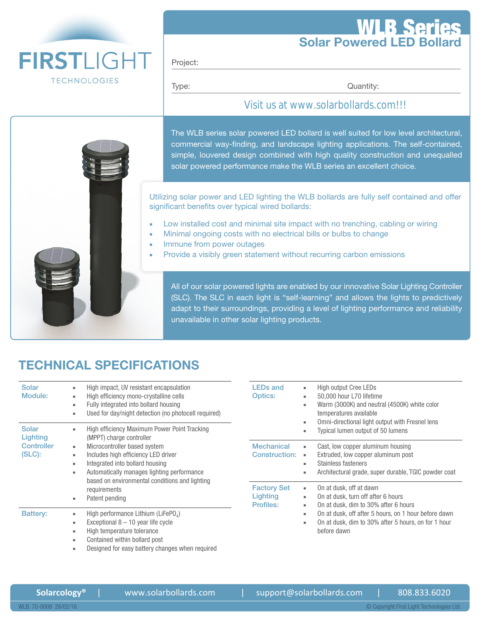## Solar Powered LED Bollard WLB Series

Project:

Type: **The Contract of Transformation** Contract Contract Contract Contract Contract Contract Contract Contract Contract Contract Contract Contract Contract Contract Contract Contract Contract Contract Contract Contract Con

#### Visit us at www.solarbollards.com!!!

The WLB series solar powered LED bollard is well suited for low level architectural, commercial way-finding, and landscape lighting applications. The self-contained, simple, louvered design combined with high quality construction and unequalled solar powered performance make the WLB series an excellent choice.

Utilizing solar power and LED lighting the WLB bollards are fully self contained and offer significant benefits over typical wired bollards:

- Low installed cost and minimal site impact with no trenching, cabling or wiring
- Minimal ongoing costs with no electrical bills or bulbs to change
- Immune from power outages
- Provide a visibly green statement without recurring carbon emissions

All of our solar powered lights are enabled by our innovative Solar Lighting Controller (SLC). The SLC in each light is "self-learning" and allows the lights to predictively adapt to their surroundings, providing a level of lighting performance and reliability unavailable in other solar lighting products.

## TECHNICAL SPECIFICATIONS

| <b>Solar</b><br>Module:                                 | High impact, UV resistant encapsulation<br>×.<br>High efficiency mono-crystalline cells<br>×.<br>Fully integrated into bollard housing<br>m.<br>Used for day/night detection (no photocell required)<br>٠                                                                                                                                         | <b>LEDs and</b><br><b>Optics:</b>                  | High output Cree LEDs<br>٠<br>50,000 hour L70 lifetime<br>٠<br>Warm (3000K) and neutral (4500K) white color<br>٠<br>temperatures available<br>Omni-directional light output with Fresnel lens<br>٠<br>Typical lumen output of 50 lumens |  |
|---------------------------------------------------------|---------------------------------------------------------------------------------------------------------------------------------------------------------------------------------------------------------------------------------------------------------------------------------------------------------------------------------------------------|----------------------------------------------------|-----------------------------------------------------------------------------------------------------------------------------------------------------------------------------------------------------------------------------------------|--|
| <b>Solar</b><br>Lighting<br><b>Controller</b><br>(SLC): | High efficiency Maximum Power Point Tracking<br>٠<br>(MPPT) charge controller<br>Microcontroller based system<br>ж.<br>Includes high efficiency LED driver<br>×.<br>Integrated into bollard housing<br>×.<br>Automatically manages lighting performance<br>×.<br>based on environmental conditions and lighting<br>requirements<br>Patent pending |                                                    |                                                                                                                                                                                                                                         |  |
|                                                         |                                                                                                                                                                                                                                                                                                                                                   | <b>Mechanical</b><br><b>Construction:</b>          | Cast, low copper aluminum housing<br>m.<br>Extruded, low copper aluminum post<br>$\alpha$<br>Stainless fasteners<br>٠.<br>Architectural grade, super durable, TGIC powder coat<br>ш                                                     |  |
|                                                         |                                                                                                                                                                                                                                                                                                                                                   | <b>Factory Set</b><br>Lighting<br><b>Profiles:</b> | On at dusk, off at dawn<br>m.<br>On at dusk, turn off after 6 hours<br>٠<br>On at dusk, dim to 30% after 6 hours<br>٠                                                                                                                   |  |
| <b>Battery:</b>                                         | High performance Lithium (LiFePO <sub>4</sub> )<br>Exceptional $8 - 10$ year life cycle<br>٠<br>High temperature tolerance<br>ж.<br>Contained within bollard post<br>Designed for easy battery changes when required                                                                                                                              |                                                    | On at dusk, off after 5 hours, on 1 hour before dawn<br>٠<br>On at dusk, dim to 30% after 5 hours, on for 1 hour<br>٠<br>before dawn                                                                                                    |  |



**FIRSTLIGHT** 

**TECHNOLOGIES** 

**Solarcology**<sup>®</sup> | www.solarbollards.com | support@solarbollards.com | 808.833.6020